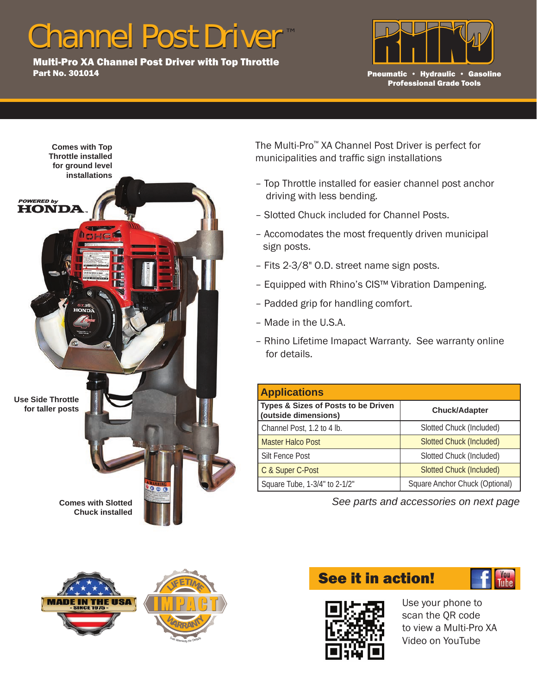## Channel Post Driver

Part No. 301014

Multi-Pro XA Channel Post Driver with Top Throttle Part No. 301014



Pneumatic • Hydraulic • Gasoline Professional Grade Tools





The Multi-Pro™ XA Channel Post Driver is perfect for municipalities and traffic sign installations

- Top Throttle installed for easier channel post anchor driving with less bending.
- Slotted Chuck included for Channel Posts.
- Accomodates the most frequently driven municipal sign posts.
- Fits 2-3/8" O.D. street name sign posts.
- Equipped with Rhino's CIS™ Vibration Dampening.
- Padded grip for handling comfort.
- Made in the U.S.A.
- Rhino Lifetime Imapact Warranty. See warranty online for details.

| <b>Applications</b>                                         |                                 |  |
|-------------------------------------------------------------|---------------------------------|--|
| Types & Sizes of Posts to be Driven<br>(outside dimensions) | <b>Chuck/Adapter</b>            |  |
| Channel Post, 1.2 to 4 lb.                                  | Slotted Chuck (Included)        |  |
| <b>Master Halco Post</b>                                    | <b>Slotted Chuck (Included)</b> |  |
| Silt Fence Post                                             | Slotted Chuck (Included)        |  |
| C & Super C-Post                                            | <b>Slotted Chuck (Included)</b> |  |
| Square Tube, 1-3/4" to 2-1/2"                               | Square Anchor Chuck (Optional)  |  |

*See parts and accessories on next page*

## See it in action!





Use your phone to scan the QR code to view a Multi-Pro XA Video on YouTube